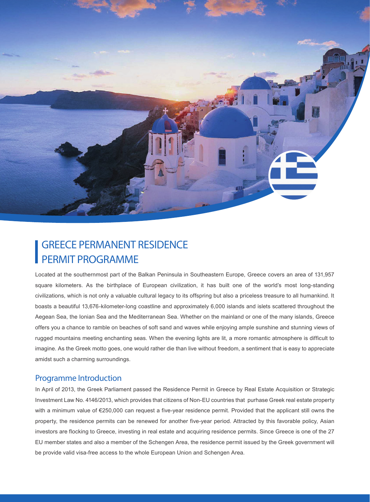

## GREECE PERMANENT RESIDENCE PERMIT PROGRAMME

Located at the southernmost part of the Balkan Peninsula in Southeastern Europe, Greece covers an area of 131,957 square kilometers. As the birthplace of European civilization, it has built one of the world's most long-standing civilizations, which is not only a valuable cultural legacy to its offspring but also a priceless treasure to all humankind. It boasts a beautiful 13,676-kilometer-long coastline and approximately 6,000 islands and islets scattered throughout the Aegean Sea, the Ionian Sea and the Mediterranean Sea. Whether on the mainland or one of the many islands, Greece offers you a chance to ramble on beaches of soft sand and waves while enjoying ample sunshine and stunning views of rugged mountains meeting enchanting seas. When the evening lights are lit, a more romantic atmosphere is difficult to imagine. As the Greek motto goes, one would rather die than live without freedom, a sentiment that is easy to appreciate amidst such a charming surroundings.

## Programme Introduction

In April of 2013, the Greek Parliament passed the Residence Permit in Greece by Real Estate Acquisition or Strategic Investment Law No. 4146/2013, which provides that citizens of Non-EU countries that purhase Greek real estate property with a minimum value of €250,000 can request a five-year residence permit. Provided that the applicant still owns the property, the residence permits can be renewed for another five-year period. Attracted by this favorable policy, Asian investors are flocking to Greece, investing in real estate and acquiring residence permits. Since Greece is one of the 27 EU member states and also a member of the Schengen Area, the residence permit issued by the Greek government will be provide valid visa-free access to the whole European Union and Schengen Area.